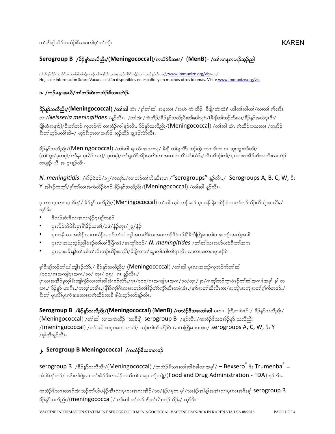## **Serogroup B** /နိဉ်နှာ်သလီညိး/(Meningococcal)/ကသံဉ်ဒီသဒၢ/ (MenB)– /တၢ်လၢနကဘဉ်သူဉ်ညါ

တၢ်ဟ်ဖျထိဉ်ကသံဉ်ဒီသဒၢတၢ်ဂ္၊်တ၊်ကျိၤတဖဉ်တ၊်မၤန္၊ံအီၤသ္လလ၊/စပ္ဉာ်ကျိဉ်ဒီးကျိဉ်အဂၤတဖဉ်န္နာ်လီၤႉ ကွ၊်/<mark>WWW.immunize.org/vis</mark>/တက္၊်**.** Hojas de información Sobre Vacunas están disponibles en español y en muchos otros idiomas. Visit[e www.immunize.org/vis](http://www.immunize.org/vis)

## ၁. /ဘဉ်မနုၤအယိ/တၢ်ဘဉ်ဆဲးကသံဉ်စီသဒၢလဲဉ်.

 $\frac{1}{2}$ န်**န်သလီညိး/(Meningococcal) /တၢဴဆါ** အံၤ /မ့္ပ်တ္ခ္ပ်ဆါ အနီးလ၊ /အဟဲ ကဲ ထိဉ် ့ီဖျိ/ဘဲးထံရံ ယါတ္ခ္ပ်ဆါယ္)/လ္ပ္တက္ဆံ ကိုးအီၤ လ၊/**Neisseria meningitides** /န္ဥလီၤ. /တၢ်ဴအံၤ/ကဲထိဉ်/ခိဉ်နူာ်သလီညိးတၢ်ဆါသ့ဝဲ/(ဒီဖျိတၢ်ဘဉ်က်လ၊/ခိဉ်နူာ်အလဲပူၤဒီး/ ပျိုယံအနက်)/ဒီးတၢ်ဘဉ် ကူဘဉ်က် လ၊သွံဉ်ကျါန့ဉ်လီၤ. ခိဉ်နူာ်သလီညိး/(**Meningococcal**) /တ၊်ဆါ အံၤ ကဲထိဉ်အသးလ၊ /တအိဉ် ီးတ၊်ဟုဉ်ပလိၢိဆိ–/ ယှာ်ဒီးပုၤလၢအအိဉ် ဆူဉ်အိဉ် ချ့ဒဉ်လာ်လီၤ.

 $\frac{2}{3}$ န်ာသလီညီး/ $(M$ eningococcal) /တၢ်ဆါ ရ $\alpha$ လီ $\tan\omega$ / နီဖို တၢ်ရှုလိ $\delta$  ဘဉ်ထွဲ တဂ $\alpha$ ီးတ ဂ $\alpha$  ဘူးဘူးတံကြံ/  $\langle$ တၢ်ကူး/မှတမ့၊်/တၢ်န၊ မူလိ $5$  သး)/ မှတမ့၊်/တၢ်ရလိ $5$ အိဉ်သကိးလၢအဆၢကတိ၊်ယံ $5$ ယ် $5$ ,/လီၤဆီအဉ်တ၊်/ပုၤလၢအအိဉ်ဆိးသကိးလၢဟံဉ် တဖျာဉ် ယီ အ ပူးနူဉ်လီး.

*N. meningitidis /အိ*ဉ်ဝဲအ်/၁၂/ကလု§,/လၢဘဉ်တၢ်ကိႈးအီၤလ၊ /"serogroups" <sub>န</sub>္ဂ်ာလီၤ./ Serogroups A, B, C, W, <sup>စွ</sup>ံး  $Y$  အါဒဉ်တက္ $\frac{1}{2}$ ဖြားတားအကဲထိဉ်ဝဲဒဉ် ခိဉ်နှာ်သလီညီး/(Meningococcal) /တာ်ဆါ နူဉ်လီး.

ပ္) ပုက္ကလကောက္အအေနနဲ႔ ခ်ဥန္မာသလည္း/(Meningococcal) တါဆါ သဝဲ ဘူခ်ဆွ် ပု၊တနီးနီး အိုခ်ဝဲလ၊တါဘူခ်ယိုခ်လီးပုံ။အလိ ယု>်ဒီး–

- ဖိသဉ်ဆုံးဖိလၢအသးနံဉ်စုၤန္[တနံဉ်
- ပုၤလိဉ်ဘိဖိဒီးပုၤနိ1်ိန်ညားစ1/၁၆/နံဉ်တုၤ/၂၃/နံဉ်
- $\bullet$  ပုလနီၤလၢအအိဉ်လ၊ကသံဉ်သရဉ်တါယါဘျါအကတိၢ်လ၊အမၤဘဉ် $3$ ဝဲဒဉ်နိ $1$ ဓိဂံ)တြိဆ၊တ၊်မၤအကျိၤအကျဲအခါ
- $\gamma$ လ၊အယုသ္ဉ်ာညါဝဲ $\alpha$ ဉ်တါယါဖိပြီက $\dot{\alpha}/$ မ၊ကွ $\dot{\alpha}\dot{\alpha}$ ) /  $N.$  meningitides /တါဆါလ၊အဟ်ဖးဝဲ $\dot{\alpha}$ းတါအဂၤ
- $\mu$ ုးလ $\alpha$ အိ $\ast$ န့်)တ $\alpha$ ဆါတ $\alpha$ လီးဘဉ်ယိဉ်အလီ $\beta$ ိဖိျလ $\alpha$ တ်၊ဆူးတ $\alpha$ ခါတ $\beta$ ရ $\alpha$ လီး သ $\ast$ လ $\alpha$ အတ $\alpha$ ပူ $\alpha$ ဉ်ဝဲ

မ့ါ်ဒိးနှုံဘဉ်တါယါဘျါဒဉ်လ်>်,/ ခိဉ်နှာ်သလိည်း/ (Meningococcal) /တါဆါ ပုၤလၢအဘဉ်ကူဘဉ်က်တါဆါ /၁၀၀/ဂၤအကျါပုၤအဂၤ/၁၀/ တုၤ/ ၁၅/ ဂၤ န္ $\delta$ လီၤ./

ပုၤလၢအအိဉ်မူတ္iိဒီးဘျါက္ပ်ာလ၊တ၊်ဆါအံၤဒဉ်လ်ာ်,/ပုၤ/၁၀၀/ဂၤအကျါပုၤအဂၤ/၁၀/တုၤ/၂၀/ဂၤတူ၊်ဘဉ်က္ၤဝဲဒဉ်တ၊်ဆါအဂၤဒ်အမ္၊် န၊် တ အၢႇ/ ခိဉ်နူာ် ဟးဂိၢႇ/ကလ့ၢ်ဟးဂိၢႇ/နို၊ိခိက္၊်ဂိၤလ၊အဘဉ်တၢ်ဒိဉ်တာ်ကွာ်အီၤတမံၤမံၤႇ/နည်အတၢ်ဆီလီၤသး/အကျို၊အကျဲအတၢ်ဂ့ၢ်ကိတဖဉ်ႇ/ ီးတါ ပူၤလိါပူၤကျဲနးမးလၢအကဲထိဉ်သးခ်ီ ဖျိဖံးဘုဉ်လာ်နူဉ်လီၤႉ

**Serogroup B /နိဉ်နှာ်သလီညီး/(Meningococcal) (MenB) /ကင်္သာနီသ<b>ော**က်ဆါ မၤစၢၤ တြီဆၤဝဲဒဉ် / နိဉ်နှာ်သလီညီး/  $(Meningococcal)$  /တါဆါ လၢအကဲထိဉ် သးခ်ီဖျိ serogroup B /နူဉ်လီၤ./ကသံဉ်ဒီသဒၢခိဉ်နှာ် သလီညိး  $A/($ meningococcal) /တါ ဆါ အဂုၤအဂၤ တဖဉ်/ ဘဉ်တါဟ်ပနိဉ်ဝဲ လၢကတြီဆ၊မၤစၢၤ/ serogroups A, C, W,  $\hat{\mathbf{x}}$ : Y  $\sqrt{\phi}$ ကြီးနူ $\beta$ လီၤ $\delta$ 

## **ှ. Serogroup B Meningococcal** /ကသံဉ်ဒီသဒၤတဖဉ်

 $\mathsf{serogroup\ B}$  /နိဉ်နူ $\mathfrak{Mod}_2$ း/(Meningococcal) /ကသံဉ် $\mathfrak{F}$ သးကာ်ဆါခံခါလၢအမ့ $\mathfrak{h}/\P$  Bexseroဳ  $\mathfrak{F}_i$ : Trumenbaဳ  $-$ အံၤ $3$ းန္1်ဘဉ်/ လံာ်တာ်ပြဲလ၊ တာ်အီဉ် $3$ းကသံဉ်ကသီတာ်ပၢဆု၊ ကျိုးကျဲ/(Food and Drug Administration - FDA) နူဉ်လီၤ.

ကသံဉ်ဒီသဒၢတဖဉ်အံၤဘဉ်တၢ်ဟ်ပနိဉ်အီၤလ၊ပုၤလ၊အသးအိဉ်/၁၀/နံဉ်/မ့တ မ့၊်/သးနံဉ်အါန္၊်အအံၤလ၊ပုၤလ၊အဒိးန္၊် <code>Serogroup B</code> ခိဉ်နှာ်သလီညိး/(meningococcal)/ တါဆါ တါဘဉ်က်တါလီၤဘဉ်ယိဉ်,/ ယှာ်ဒီး–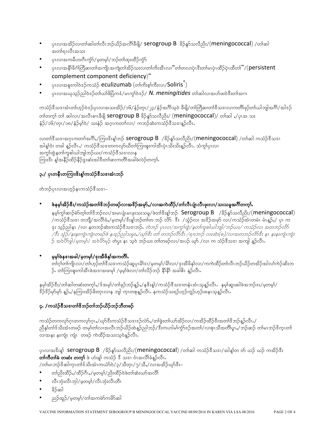- ပုၤလၢအအိဉ်လ၊တါဆါတါလီၤဘဉ်ယိဉ်အလီ၊ိခီဖျို/ serogroup B နိဉ်နှာ်သလီညိး/(meningococcal) /တါဆါ အတ္ပ္ပါပက္မသား
- ပုၤလၢအကမီဟးဂိၤကွႆာ်/မ့တမ့္၊်ဴ/ဘဉ်တၢ်ထုးထိဉ်ကွံာ်
- ပုၤလၢအနီးခိဂံကြိဆ၊တၢ်အကျိုးအကျဲတ၊်အိဉ်သးလ၊တ၊်ကိုးအီးလ၊ "တ၊်တလ၊ပုံၤဒီးတ၊်မၤပုံၤထိဉ်ပုံၤထိတ၊်"/(persistent complement component deficiency)"
- ပုံးလှူအစူးကျွတ်နဉ်ကသံဉ် eculizumab (တာကြီးစွာကြီးလှု/Soliris)  $\bullet$
- ပုၤလၢအၰသွဉ်ညါဝဲဒဉ်တၢ်ဃၢိဖိပြံကဒံ/မၤက္ဂၢ်ဝဲဒဉ်/ N. meningitides တၢ်ဆါလၢအဟ်ဖးဝဲဒီးတၢ်အဂၤ

ကသံဉ်ဒီသဒၢအံၤတၢ်ဟ္ဥ်ာဝဲဒဉ်ပုၤလၢအသးအိဉ်/၁၆/နံဉ်တုၤ/၂၃/နံဉ်အဂိါသ့ဝဲ ခီဖျိ/တၢ်တြိဆ၊တၢ်ဒီသဒၢလၢကတိၢ်ဖုဉ်တ၊်ယါဘျါအဂိၢ်/အါဒဉ် တ္ပါတယ္) လုု ဆုုတ္လုု႔အတ္ရွိ berogroup B ခ်ိန္မွ်သလိုညွိႏုု (meningococcal)/ တုုဆုုိ႔ပုုက္မွာ သႏ နံဉ်/၁၆/တုၤ/၁၈/နံဉ်မ့ၢ်ဝဲ/ သးနံဉ် အဂ္ဂၤကတၢါလ၊/ ကဘဉ်ဆဲးကသံဉ်ဒီသဒၢန္ဉာလီၤႉ

လ၊တၢိနီသန္၊အဂ္ဂၤကတၢၤ်အဂိၢိႇ/ကြူးနီးန္1တဉ် Serogroup B /ခိဉ်နူခ်သလီညိး/(meningococcal) /တၢ်ဆါ ကသံဉ်နီသန္၊ အါန၊်ဒံး တခါ နဉ်လီၤႇ/ ကသံဉ်ဒီသဒၢတကလှာ်ယီတ၊်ကြၢးစူးကါအီၤပုံၤသိးသိးနဉ်လီၤႉ သံက္န၊်ပုၤလ၊ အကွၢ်ထွဲနတၢ်ကူစါယါဘျါဘဉ်ယး/ကသံဉ်ဒီသဒၢလၢန ကြားဒိး န့၊်အနိဉ်ထိဉ်နိဉ်ဒွးဆံးအါဒီးတ၊်ဆၢကတိ၊်အခါဖဲလဲဉ်တက့၊်.

# ၃./ ပုၤတနိၤတကြၢးဖိးန္၊်ကသံဉ်စီသဒၢအံၤဘဉ်

တဲဘဉ်ပုၤလၢအဟ့ဉ်နၤကသံဉ်ဒီသဒၢ–

ဖဲနမ္န္ကုံအိဉ်ဒီး/ကသံဉ်အတၢိနိဘဉ်တဖဉ်လၢအဖိဉ်အမှာ်,/လၢအကဲထိဉ်/တၢဴလီၤပျံၤလီၤဖုးလ၊/သးသမှုအင်္ဂါတက္နၤ်

နမ္နါက္ဂါဆၢဉ်မဲာ်တ္နါတါဒိဘဉ်လ၊/အမၤပုုံ၊မၤဖုးသးသမူ/ဖဲတၢ်ဒိႏန္1ဘဉ် Serogroup B /နိဉ်နူဉ်သလီညိး/(meningococcal) /ကသံဉ်ဒီသဒၢ တဘျိ/အလိၢ်ခံႇ/မှတမ့)်/ဒိးန္1ဘဉ်တၢ်တ ဘဉ် လိ $5\,$  ဒီး  $\,$  /သွံဉ်လၢ အဒိဉ်အမှာ် လ၊/ကသံဉ်အံၤတမံၤ မံၤန္ဉာ်ႇ/ ပုၤ က <u>ဒုး သူဉ်ညါနၤ /လၢ နတဘဉ်ဆဲးကသံဉ်ဒီသဒၢဘဉ်. *တဲဘဉ် ပုၤလ၊/အကွၤ်ထွဲ/နတၤ်ကူစါယါဘျါ/ဘဉ်ဃး/ ကသံဉ်လ၊ အတဘဉ်လိ*ဉ်</u> /ဒီး သံ့ဉ်/နးနူးကျုံးကျုံတဖဉ်ဖဲ နသူဉ်ညါသမွး,/ဃု႒်ဒီး တၤ် တဘဉ်လိ9်ဒီး /ရၢးဘၤှာ် လးထဲး(စ)/လၢအတဘဉ်လိ9်ဒီး န၊ နူးနူးကျုံးကျုံး ဉ် အဝဲပိ5ခွါ/မူတမ့)/ အဝဲပိ5မှဉ် တဲမှး နၤ သူဝဲ ဘဉ်ယး တၢဴတဖဉ်လ၊/အပဉ် ယှာ် /လ၊ က သံဉ်ဒီသဒ၊ အကျါ နူဉ်လီၤ

မွမ္ခါဖဲန္းအခါ/မွတမ္န္)/ဒူးအီဖိန္ဒါအကတိိုႇ

တၢဴဂူၫ်တၢ်ကျိၤလ၊/တၢ်ဟ္ဥ်ာတၢ်ဒိသဒၢကသံဥ်ဆူပုၤမိ၊်ဒ၊/မူတမ့၊်/မိ၊်လ၊/ဒုးအိဖိနှၤ်လ၊/ကကဲထိဉ်တၢ်လီၤဘဉ်ယိဉ်တအိဉ်အါလ၊်ကဲဉ်ဆိးဘ ဉ်. တာ်ကြားစူးကါအီၤဖဲအဒၢအဖၢမှာ် /မှမ့္ပါဖဲလာ/တာ်လိဉ်ဘဉ် နိ1ိနိ1် အခါဓိၤ နူဉ်လီၤ.

နမ့္ပ်က္ဆိဉ်ဒီး/တၢ်ဆါတဆံးတက္န္ပါႇ/ဒ်ံ အမူ)/တၢဴခုဉ်ဘဉ်န္ဥာ်ႇ/နဒိႏန္၊်/ကသံဉ်ဒီသဒၢတနံၤအံၤသ္နည်လီၤ နမ့္ပ်ဆူးဆါဖဲအဘဉ်ဒး/မှတမ့၊်/ း<br>န်ဒိုန် မှာမှာ နဉ်,/နကြားအိဉ်ခိုးတုၤလၢန ဘျါ က္ၤတစုနူဉ်လီၤ. နကသံဉ်သရဉ်ဟုဉ်ကူဉ်ဟုဉ်ဖူးနၤသနဉ်လီၤ.

## ၄. /ကသံဉ်စီသဒၢတၢ်စိဘဉ်တၢ်ဘဉ်ယိဉ်ဘဉ်ဘီတဖဉ်

ကသံဉ်တကလှာ်ဂူၤတကလှာ်ဂူး,/ဃှာ်ဒီးကသံဉ်ဒီသဒၢဒဉ်လဲာ်,/တၢ်ခဲ့းတ၊်ယာ်အိဉ်လ၊/ကအိဉ်ထိဉ်ဒီးအတ၊်ဒိဘဉ်နှဉ်လီး./ ညီနှ႞တ႞ဒ်သိးအံၤတဖဉ် တမ့္ပ်တ္ပ်လၢအလီၤဘဉ်ယိဉ်ထဲန္နဉ်ညါဘဉ်/ဒီးကဟါမၤ်ကွံာ်ဒဉ်အတၤ်/လၢစုၤသိအတိၢ်ပူၤႇ/ဘဉ်ဆဉ် တၤ်မၤဘဉ်ဒိက္ၤတၤ် လ၊အနး နးကျံ၊ ကျံ၊ တဖဉ် ကဲထိဉ်အသးသ္ဝဲန္ဉာလီၤ.

ပုၤလၢအဒိးန္၊် Serogroup B /ခိဉ်နှာ်သလီညီး/(meningococcal) /တၢ်ဆါ ကသံဉ်ဒီသဒၢ/အါန္၊်တ တ် ယဉ် ယဉ် ကအိဉ်ဒီး **တၢ်ကီတၢ်ခဲ တဆံး တက္၊်** ဖဲ ဟံးန္၊် ကသံဉ် <sup>8ွ</sup> သဒၢ ဝံၤအလိၢ်ခံန္**ဉ်လိၤ**.

/တၢ်မၤဘဉ် $\frac{2}{3}$ ဆါက္ၤတၢ် $\frac{1}{3}$ သိႏဴာၤကယံ $5$ ၀ဲ/၃/သီတုၤ/၇/သီ $\mathcal{A}/\infty$ ၢအအိဉ်ယှ $5$ ီး–

- တ႞ညိးထိဉ်ႇ/ထိဉ်ဂိၤႇ/မှတမ္]/ညိးထိဉ်ဝဲဖဲတ္သဆဲးယာအလိ
- လီၤဘုံးလီၤဘုါ/မ့တမ္န္)/လီၤဘုံးလီၤတီၤ
- နိ5်ဆါ
- ညဉ်ထူဉ်/မဲ့တမ့်႞/တၢ်အကမဲာ်ကမိာ်ဆါ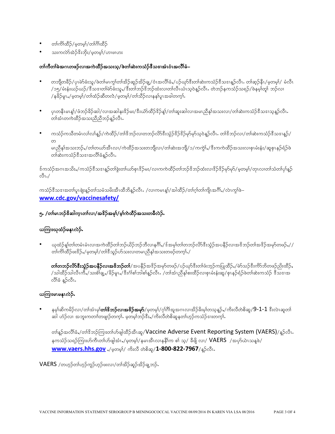- တၢ်ကိၢ်ထိဉ်/မှတမ္•ါ/တၢ်ဂိၢ်ထိဉ်  $\bullet$
- သးကလဲာ်အဲ့ဉ်ဒိုးဘိုး/မတမၢ်/ဟာဖာဟား

#### တၢဴကီတၢ်ခဲအဂၤတဖဉ်လၢအကဲထိဉ်အသးသူ/ဖဲတၢ်ဆဲးကသံဉ်ဒီသဒၢအံၤဝံၤအလိၢ်ခံ–

- တဘျိတခ်ိဉ်/ပုၤမဲာ်ခံးသူ/ဖဲတၤ်မၤက္ဂၤ်တၤ်အိဉ်ဆူဉ်အိဉ်ချု/ဝံၤအလိၢ်ခံႇ/ပဉ်ယှာ်ဒီးတၤ်ဆဲးကသံဉ်ဒီသဒၤနူဉ်လီၤႉ တၢ်ဆ္ဉ်နိၤ/မဲ့တမ့ၢ်/ မံလီၤ /၁၅/မံးနံးယဉ်ယဉ်/ဒီသဒၢတၢ်မဲာ်ခံးသူႇ/ဒီးတၢ်ဘဉ်ဒိဘဉ်ထံးလ၊တ၊်လီၤယံၤသ္ဝဲနူဉ်လီၤႉ တဲဘဉ်နကသံဉ်သရဉ်/ဖဲနမ္ါးတူ၊် ဘဉ်လ၊ / န<sup>္ဌိ</sup>ဉ်မူၤႇ/မှတမ့)/တၢ်ထံဉ်ဆီတလဲ/မှတမ့)/တၢ်သိဉ်လၢနန۱်ပူၤအခါတက္i်.
- ပုၤတနိၤမၤန္1်/ဖံဘဉ်ခိဉ်ဆါ/လၢအဆါနးၓိဉ်မႈ/ၓီးယံာ်ထိဉ်ၓိဉ်န္1်/တၢ်ဆူးဆါလၢအမၤညီနှၤ်အသးလၢ/တၢ်ဆဲးကသံဉ်ၓီသဒၤသ္နန္ဉာလီၤ  $\bullet$
- ကသံဉ်ကသီတမံၤလၢ်လ၊်နူဉ်/ကဲထိဉ်/တၢ်ဒိဘဉ်လ၊တဘဉ်လိ5်ဒီးသွံဉ်ဒိဉ်ဒိုခ်မှာမှာ်သူဝဲနူဉ်လီၤႉ တၢ်ဒိဘဉ်လ၊/တ၊်ဆဲးကသံဉ်ဒီသဒၢနူဉ်/

မၤညီနု၊်အသးဘဉ်ႇ/တၢ်တယာ်အီၤလၢ/ကဲထိဉ်အသးတဘျိလၢ/တၢ်ဆဲးအဘျိ/၁/ကကွဲ၊်ႇ/ဒီးကကဲထိဉ်အသးလၢစုၤမံးနံး/ဆူစုၤနဉ်ရံဉ်ဖဲ ာ<br>-<br>တစ်ဆုံးကသံဉ်ဒီသဒၢအလိၢခံနဉ်လိၤ**.** 

<sup>ငွ</sup>်ကသံဉ်အဂၤအသိးႇ/ကသံဉ်ဒီသဒၢန္ဉာ်တၢ်ခွဲးတၤ်ယာ်စုၤဒိဉ်မႈ/လၢကကဲထိဉ်တၢ်ဘဉ်ဒိဘဉ်ထံးလၢဒိဉ်ဒိဉ်မှာ်မှာ်/မှတမ့ၢ်/တုၤလၢတၢ်သံတၢ်ပုၢ်နူဉ်  $\sqrt{3}$ l $\sqrt{2}$ 

ကသံဉ်ဒီသဒၢအတၢ်ပူးဖျံးနှဉ်တၢ်သမံသမိးအီးထီဘိန္နဉ်လီး . /လ၊ကမၤန္၊်/အါထိဉ်/တၢ်ဂ့ၢ်တ၊်ကျိုးအဂိၢ်ႇ/လဲၤက္ဂၢ်ဖဲ– www.cdc.gov/vaccinesafety/

### ၅. /တၢ်မၤဘဉ် $\&$ ဆါက္ၤတၢ်လၢ/အ $\&\&\$ အမှၢ်/မူ၊်ကဲထိဉ်အသးတခ်ီလဲဉ်.

## ယကြၢးယုထံဉ်မနုၤလဲဉ်.

ယုထံဉ်နှုံတၢ်တမံၤမံၤလၢအကဲထိဉ်တၢ်ဘဉ်ယိဉ်ဘဉ်ဘီလၢနဂိၢ်ႇ/ဒ်အမ္[တၢ်တဘဉ်လိ5်ဒီးသွံဉ်အပနိဉ်လၢအဒိဘဉ်တၢ်အဒိဉ်အမှာ်တဖဉ်ႇ// တၢ်ကိၢ်ထိဉ်ဖးဒိဉ်ႇ/မှတမ့ၢ်/တၢ်ဒိသူဉ်ဟ်သးလၢတမၤညီနှၤ်အသးတဖဉ်တက္i်ႇ/

တ**်တဘဉ်လိာ်ဒီးသွံဉ်အပနိဉ်လၢအဖိဘဉ်တ၊်**/အပနိဉ်အ<sup>မွ</sup>ဉ်အမှာ်တဖဉ်/ပဉ်ယှာ်ဒီးတ၊်ဖံးဘူဉ်ကပြုထိဉ်ႇ/မဲာ်သဉ်ဒီးကိာ်ဘိတဖဉ်ညိးထိဉ်ႇ /သါထိဉ်သါလိၤကိႇ/သးစံခြု့,/ခိဉ်မူၤ,/ဒီးဂံ၊စာ်ဘါစါနူဉ်လိၤ. /တၢ်အံၤညိနှစ်းထိဉ်လၢစုၤမံးနုံးဆူ/စုၤနဉ်ရံဉ်ဖဲတၢ်ဆဲးကသံဉ် ဒီသဒၢအ လိ်္ဂနံ န့ဉ်လီၤ.

## ယကြၢးမၤမန္နၤလဲဉ်.

နမ့္ပ်ဆိကမိဉ်လ၊/တၢ်အံၤမ္ပါ**တၢိနိဘဉ်လၢအဖိဉ်အမှာ်**/မ့တမ့)်/ဂ္ဂါဂိၢိအူအဂၤလၢအိဉ်ခိႏမ့္ပ်တသ္နဥ္**,**/ကိႏလိတဲစိဆူ/**9-1-1** ဒီးလဲၤဆူတၢ် .<br>ဆါ ဟံဉ်လ၊ အဘူးကတၢါတဖျာဉ်တက္i်. မှတမ့ၢ်ဘဉ်ဒီး,/ကိးလီတဲစိဆူနတ၊်ဟူဉ်ကသံဉ်ဒၢးတက္i်.

တါနဉ်အလို၊်ခဲ,/တၢိဒိဘဉ်ကြုးတ၊်ဟ်ဖျါထိဉ်အီးဆူ/Vaccine Adverse Event Reporting System (VAERS)/နဉ်လီး. နကသံဉ်သရဉ်ကြၢးဟ်ကီၤတၢ်ဟ်ဖျါအံၤႇ/မ့တမ့)်/ နမၤအီၤလၢနနိ $\mathfrak f$ က စ $\mathfrak h$  သ္/ စီဖိုု လၢ/  $\mathsf{VAERS}\;$  /အပှာ်ယဲၤသန္ဖဖဲ/ Www.vaers.hhs.gov ,/မ္ဘတမ္န)/ ကိႏလီ တဲစိဆူ/1-800-822-7967/န္5်လီၤ.

VAERS /တဟုဉ်တၢ်ဟုဉ်ကူဉ်ဟုဉ်ဖးလၢ/တၢ်အိဉ်ဆူဉ်အိဉ်ချ့ဘဉ်.